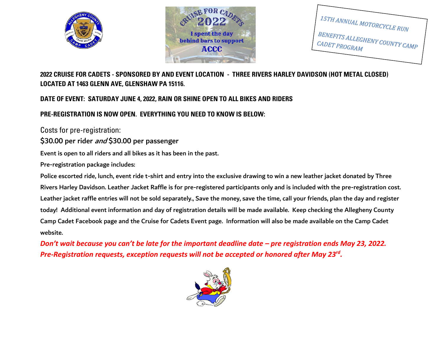



15TH ANNUAL MOTORCYCLE RUN BENEFITS ALLEGHENY COUNTY CAMP CADET PROGRAM

# **2022 CRUISE FOR CADETS - SPONSORED BY AND EVENT LOCATION - THREE RIVERS HARLEY DAVIDSON (HOT METAL CLOSED) LOCATED AT 1463 GLENN AVE, GLENSHAW PA 15116.**

### **DATE OF EVENT: SATURDAY JUNE 4, 2022, RAIN OR SHINE OPEN TO ALL BIKES AND RIDERS**

## **PRE-REGISTRATION IS NOW OPEN. EVERYTHING YOU NEED TO KNOW IS BELOW:**

Costs for pre-registration:

\$30.00 per rider and \$30.00 per passenger

Event is open to all riders and all bikes as it has been in the past.

Pre-registration package includes:

Police escorted ride, lunch, event ride t-shirt and entry into the exclusive drawing to win a new leather jacket donated by Three Rivers Harley Davidson. Leather Jacket Raffle is for pre-registered participants only and is included with the pre-registration cost. Leather jacket raffle entries will not be sold separately., Save the money, save the time, call your friends, plan the day and register today! Additional event information and day of registration details will be made available. Keep checking the Allegheny County Camp Cadet Facebook page and the Cruise for Cadets Event page. Information will also be made available on the Camp Cadet website.

*Don't wait because you can't be late for the important deadline date – pre registration ends May 23, 2022. Pre-Registration requests, exception requests will not be accepted or honored after May 23rd .*

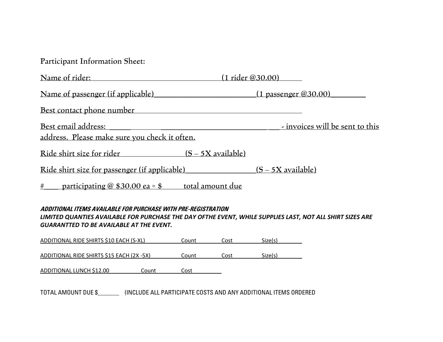|  | Participant Information Sheet: |  |
|--|--------------------------------|--|
|--|--------------------------------|--|

| Name of rider:                                                                 | (1 rider @30.00)                |
|--------------------------------------------------------------------------------|---------------------------------|
| Name of passenger (if applicable) (1 passenger @30.00)                         |                                 |
| Best contact phone number                                                      |                                 |
| Best email address:<br>address. Please make sure you check it often.           | - invoices will be sent to this |
| Ride shirt size for rider<br>$(S - 5X)$ available)                             |                                 |
| Ride shirt size for passenger (if applicable) $(S - 5X)$ available)            |                                 |
| $\frac{\text{\#}}{\text{\#}}$ participating @ \$30.00 ea = \$ total amount due |                                 |

#### **ADDITIONAL ITEMS AVAILABLE FOR PURCHASE WITH PRE-REGISTRATION** *LIMITED QUANTIES AVAILABLE FOR PURCHASE THE DAY OFTHE EVENT, WHILE SUPPLIES LAST, NOT ALL SHIRT SIZES ARE GUARANTTED TO BE AVAILABLE AT THE EVENT.*

| ADDITIONAL RIDE SHIRTS \$10 EACH (S-XL)   | Count | Cost | Size(s) |  |
|-------------------------------------------|-------|------|---------|--|
|                                           |       |      |         |  |
| ADDITIONAL RIDE SHIRTS \$15 EACH (2X -5X) | Count | Cost | Size(s) |  |

| ADDITIONAL LUNCH \$12.00<br>Count<br>Cost |
|-------------------------------------------|
|-------------------------------------------|

TOTAL AMOUNT DUE \$\_\_\_\_\_\_\_ (INCLUDE ALL PARTICIPATE COSTS AND ANY ADDITIONAL ITEMS ORDERED